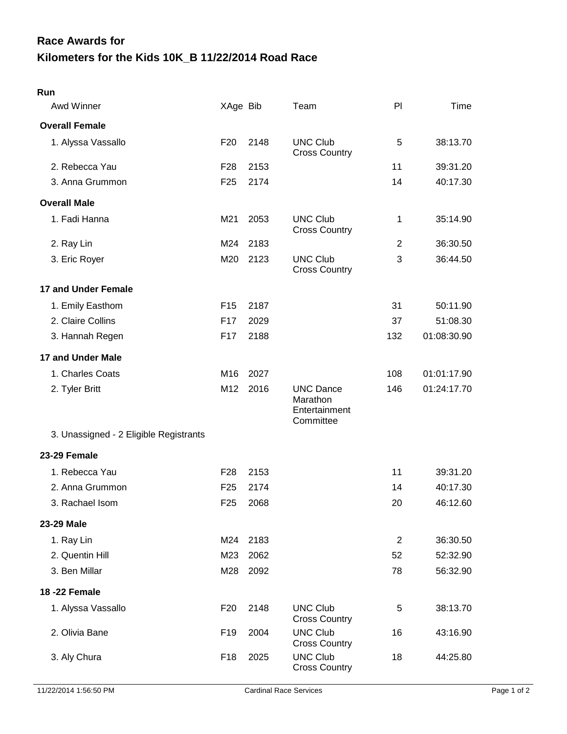## **Kilometers for the Kids 10K\_B 11/22/2014 Road Race Race Awards for**

| Run                                    |                 |      |                                                            |                |             |
|----------------------------------------|-----------------|------|------------------------------------------------------------|----------------|-------------|
| Awd Winner                             | XAge Bib        |      | Team                                                       | PI             | Time        |
| <b>Overall Female</b>                  |                 |      |                                                            |                |             |
| 1. Alyssa Vassallo                     | F <sub>20</sub> | 2148 | <b>UNC Club</b><br><b>Cross Country</b>                    | 5              | 38:13.70    |
| 2. Rebecca Yau                         | F <sub>28</sub> | 2153 |                                                            | 11             | 39:31.20    |
| 3. Anna Grummon                        | F <sub>25</sub> | 2174 |                                                            | 14             | 40:17.30    |
| <b>Overall Male</b>                    |                 |      |                                                            |                |             |
| 1. Fadi Hanna                          | M21             | 2053 | <b>UNC Club</b><br><b>Cross Country</b>                    | 1              | 35:14.90    |
| 2. Ray Lin                             | M24             | 2183 |                                                            | $\overline{c}$ | 36:30.50    |
| 3. Eric Royer                          | M20             | 2123 | <b>UNC Club</b><br><b>Cross Country</b>                    | 3              | 36:44.50    |
| <b>17 and Under Female</b>             |                 |      |                                                            |                |             |
| 1. Emily Easthom                       | F <sub>15</sub> | 2187 |                                                            | 31             | 50:11.90    |
| 2. Claire Collins                      | F <sub>17</sub> | 2029 |                                                            | 37             | 51:08.30    |
| 3. Hannah Regen                        | F <sub>17</sub> | 2188 |                                                            | 132            | 01:08:30.90 |
| <b>17 and Under Male</b>               |                 |      |                                                            |                |             |
| 1. Charles Coats                       | M16             | 2027 |                                                            | 108            | 01:01:17.90 |
| 2. Tyler Britt                         | M12             | 2016 | <b>UNC Dance</b><br>Marathon<br>Entertainment<br>Committee | 146            | 01:24:17.70 |
| 3. Unassigned - 2 Eligible Registrants |                 |      |                                                            |                |             |
| 23-29 Female                           |                 |      |                                                            |                |             |
| 1. Rebecca Yau                         | F <sub>28</sub> | 2153 |                                                            | 11             | 39:31.20    |
| 2. Anna Grummon                        | F <sub>25</sub> | 2174 |                                                            | 14             | 40:17.30    |
| 3. Rachael Isom                        | F25             | 2068 |                                                            | 20             | 46:12.60    |
| 23-29 Male                             |                 |      |                                                            |                |             |
| 1. Ray Lin                             | M24             | 2183 |                                                            | $\overline{2}$ | 36:30.50    |
| 2. Quentin Hill                        | M23             | 2062 |                                                            | 52             | 52:32.90    |
| 3. Ben Millar                          | M28             | 2092 |                                                            | 78             | 56:32.90    |
| <b>18 -22 Female</b>                   |                 |      |                                                            |                |             |
| 1. Alyssa Vassallo                     | F <sub>20</sub> | 2148 | <b>UNC Club</b><br><b>Cross Country</b>                    | 5              | 38:13.70    |
| 2. Olivia Bane                         | F <sub>19</sub> | 2004 | <b>UNC Club</b><br><b>Cross Country</b>                    | 16             | 43:16.90    |
| 3. Aly Chura                           | F18             | 2025 | <b>UNC Club</b><br><b>Cross Country</b>                    | 18             | 44:25.80    |